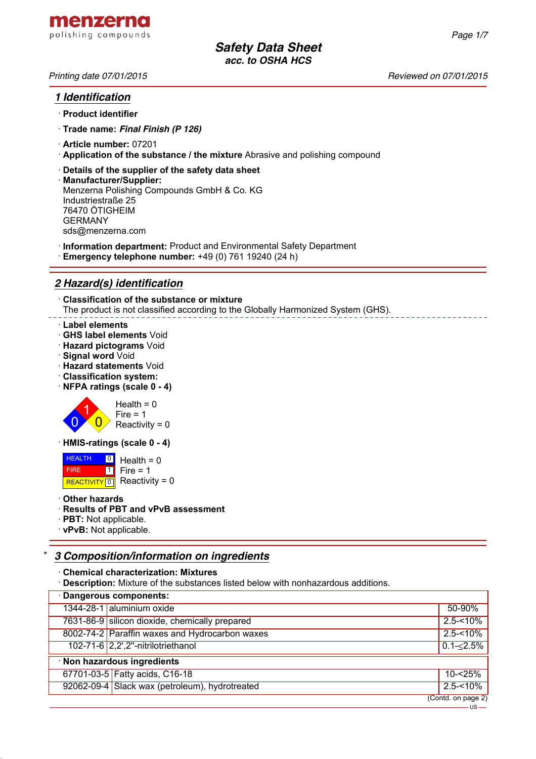*Printing date 07/01/2015 Reviewed on 07/01/2015*

# *1 Identification*

- · **Product identifier**
- · **Trade name:** *Final Finish (P 126)*
- · **Article number:** 07201
- · **Application of the substance / the mixture** Abrasive and polishing compound
- · **Details of the supplier of the safety data sheet**
- · **Manufacturer/Supplier:** Menzerna Polishing Compounds GmbH & Co. KG Industriestraße 25 76470 ÖTIGHEIM GERMANY sds@menzerna.com
- · **Information department:** Product and Environmental Safety Department
- · **Emergency telephone number:** +49 (0) 761 19240 (24 h)

# *2 Hazard(s) identification*

· **Classification of the substance or mixture** The product is not classified according to the Globally Harmonized System (GHS).

#### · **Label elements**

- · **GHS label elements** Void
- · **Hazard pictograms** Void
- · **Signal word** Void
- · **Hazard statements** Void
- · **Classification system:**
- · **NFPA ratings (scale 0 4)**



 $Reactivity = 0$ 

· **HMIS-ratings (scale 0 - 4)**

 HEALTH FIRE REACTIVITY  $\boxed{0}$  Reactivity = 0 <mark>의</mark> Health = 0  $\overline{1}$  $Fire = 1$ 

· **Other hazards**

#### · **Results of PBT and vPvB assessment**

- · **PBT:** Not applicable.
- · **vPvB:** Not applicable.

# \* *3 Composition/information on ingredients*

- · **Chemical characterization: Mixtures**
- · **Description:** Mixture of the substances listed below with nonhazardous additions.

| · Dangerous components:     |                                                |                                 |
|-----------------------------|------------------------------------------------|---------------------------------|
|                             | 1344-28-1 aluminium oxide                      | 50-90%                          |
|                             | 7631-86-9 silicon dioxide, chemically prepared | $2.5 - 10\%$                    |
|                             | 8002-74-2 Paraffin waxes and Hydrocarbon waxes | $2.5 - 10\%$                    |
|                             | 102-71-6 2,2',2"-nitrilotriethanol             | $0.1 - 2.5\%$                   |
| · Non hazardous ingredients |                                                |                                 |
|                             | 67701-03-5 Fatty acids, C16-18                 | $10 - 25%$                      |
|                             | 92062-09-4 Slack wax (petroleum), hydrotreated | $2.5 - 10\%$                    |
|                             |                                                | $\overline{(Contd. on page 2)}$ |
|                             |                                                | $ \mu$ s $-$                    |

*Page 1/7*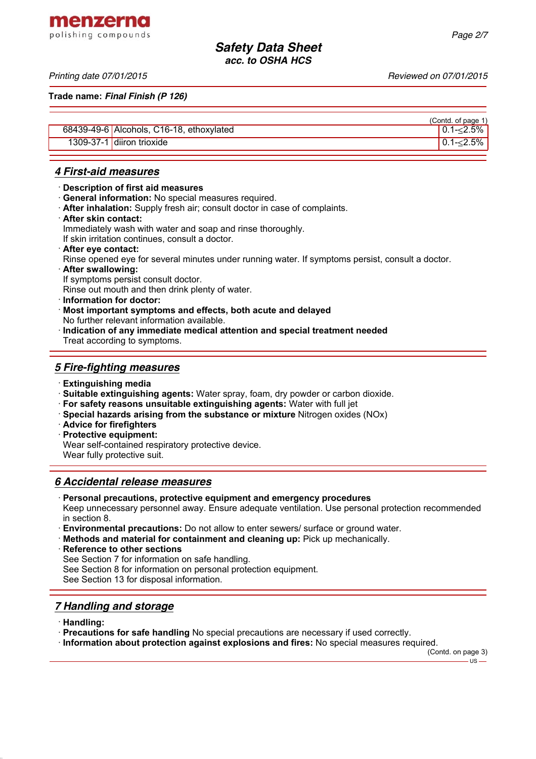menzerna

**Trade name:** *Final Finish (P 126)*

|                                          | (Contd. of page 1) |
|------------------------------------------|--------------------|
| 68439-49-6 Alcohols, C16-18, ethoxylated | $10.1 - 2.5\%$     |
| 1309-37-1 diiron trioxide                | $10.1 - 2.5\%$     |

## *4 First-aid measures*

- · **Description of first aid measures**
- · **General information:** No special measures required.
- · **After inhalation:** Supply fresh air; consult doctor in case of complaints.
- · **After skin contact:**

Immediately wash with water and soap and rinse thoroughly.

- If skin irritation continues, consult a doctor.
- · **After eye contact:**
- Rinse opened eye for several minutes under running water. If symptoms persist, consult a doctor.
- · **After swallowing:**
- If symptoms persist consult doctor.
- Rinse out mouth and then drink plenty of water.
- · **Information for doctor:**
- · **Most important symptoms and effects, both acute and delayed**
- No further relevant information available. · **Indication of any immediate medical attention and special treatment needed**
- Treat according to symptoms.

## *5 Fire-fighting measures*

- · **Extinguishing media**
- · **Suitable extinguishing agents:** Water spray, foam, dry powder or carbon dioxide.
- · **For safety reasons unsuitable extinguishing agents:** Water with full jet
- · **Special hazards arising from the substance or mixture** Nitrogen oxides (NOx)
- · **Advice for firefighters**
- · **Protective equipment:**
- Wear self-contained respiratory protective device.
- Wear fully protective suit.

## *6 Accidental release measures*

· **Personal precautions, protective equipment and emergency procedures**

Keep unnecessary personnel away. Ensure adequate ventilation. Use personal protection recommended in section 8.

- · **Environmental precautions:** Do not allow to enter sewers/ surface or ground water.
- · **Methods and material for containment and cleaning up:** Pick up mechanically.
- **Reference to other sections**
- See Section 7 for information on safe handling.
- See Section 8 for information on personal protection equipment.

See Section 13 for disposal information.

# *7 Handling and storage*

· **Handling:**

· **Precautions for safe handling** No special precautions are necessary if used correctly.

· **Information about protection against explosions and fires:** No special measures required.

(Contd. on page 3)  $\overline{\mathbf{1}}$ 

# polishing compounds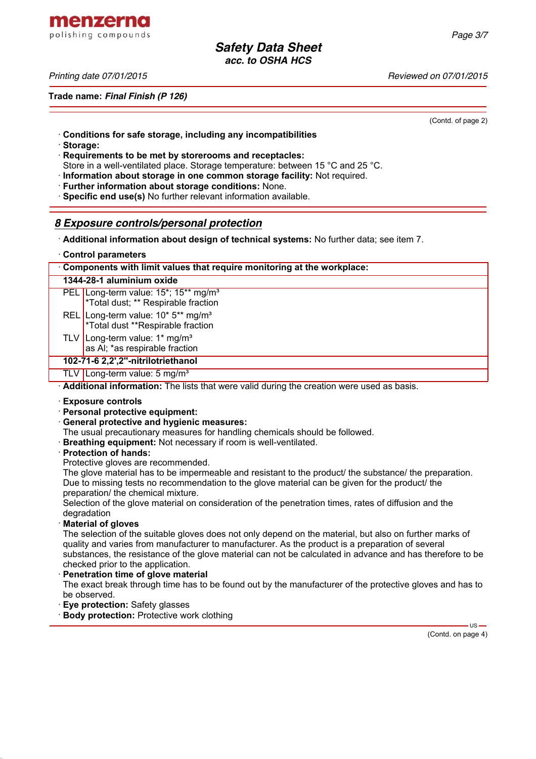menzerna polishing compounds

*Printing date 07/01/2015 Reviewed on 07/01/2015*

**Trade name:** *Final Finish (P 126)*

(Contd. of page 2)

- · **Conditions for safe storage, including any incompatibilities**
- · **Storage:**
- · **Requirements to be met by storerooms and receptacles:**
- Store in a well-ventilated place. Storage temperature: between 15 °C and 25 °C.
- · **Information about storage in one common storage facility:** Not required.
- · **Further information about storage conditions:** None.
- · **Specific end use(s)** No further relevant information available.

## *8 Exposure controls/personal protection*

· **Additional information about design of technical systems:** No further data; see item 7.

#### · **Control parameters**

| Components with limit values that require monitoring at the workplace: |                                                                                                                  |  |
|------------------------------------------------------------------------|------------------------------------------------------------------------------------------------------------------|--|
| 1344-28-1 aluminium oxide                                              |                                                                                                                  |  |
|                                                                        | PEL Long-term value: 15 <sup>*</sup> ; 15 <sup>**</sup> mg/m <sup>3</sup><br>*Total dust; ** Respirable fraction |  |
|                                                                        | REL Long-term value: 10* 5** mg/m <sup>3</sup><br>*Total dust **Respirable fraction                              |  |
|                                                                        | TLV Long-term value: $1*$ mg/m <sup>3</sup><br>as AI; *as respirable fraction                                    |  |
|                                                                        | 102-71-6 2,2',2"-nitrilotriethanol                                                                               |  |
|                                                                        | TLV   Long-term value: 5 mg/m <sup>3</sup>                                                                       |  |

· **Additional information:** The lists that were valid during the creation were used as basis.

#### · **Exposure controls**

- · **Personal protective equipment:**
- · **General protective and hygienic measures:**

The usual precautionary measures for handling chemicals should be followed.

· **Breathing equipment:** Not necessary if room is well-ventilated.

#### · **Protection of hands:**

Protective gloves are recommended.

The glove material has to be impermeable and resistant to the product/ the substance/ the preparation. Due to missing tests no recommendation to the glove material can be given for the product/ the preparation/ the chemical mixture.

Selection of the glove material on consideration of the penetration times, rates of diffusion and the degradation

· **Material of gloves**

The selection of the suitable gloves does not only depend on the material, but also on further marks of quality and varies from manufacturer to manufacturer. As the product is a preparation of several substances, the resistance of the glove material can not be calculated in advance and has therefore to be checked prior to the application.

- · **Penetration time of glove material**
- The exact break through time has to be found out by the manufacturer of the protective gloves and has to be observed.
- **Eye protection: Safety glasses**
- **Body protection:** Protective work clothing

(Contd. on page 4)

 $US -$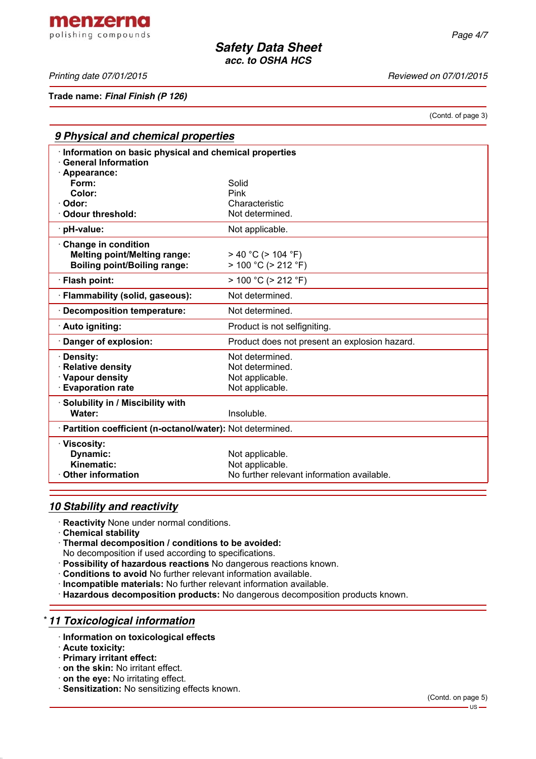menzerna polishing compounds

*Printing date 07/01/2015 Reviewed on 07/01/2015*

**Trade name:** *Final Finish (P 126)*

(Contd. of page 3)

| 9 Physical and chemical properties                                                                |                                                                                  |  |  |  |
|---------------------------------------------------------------------------------------------------|----------------------------------------------------------------------------------|--|--|--|
| · Information on basic physical and chemical properties<br><b>General Information</b>             |                                                                                  |  |  |  |
| · Appearance:<br>Form:                                                                            | Solid                                                                            |  |  |  |
| Color:                                                                                            | Pink                                                                             |  |  |  |
| Odor:                                                                                             | Characteristic                                                                   |  |  |  |
| <b>⋅ Odour threshold:</b>                                                                         | Not determined.                                                                  |  |  |  |
| · pH-value:                                                                                       | Not applicable.                                                                  |  |  |  |
| Change in condition<br><b>Melting point/Melting range:</b><br><b>Boiling point/Boiling range:</b> | $> 40 °C$ ( $> 104 °F$ )<br>$> 100 °C$ ( $> 212 °F$ )                            |  |  |  |
| · Flash point:                                                                                    | $> 100 °C$ ( $> 212 °F$ )                                                        |  |  |  |
| · Flammability (solid, gaseous):                                                                  | Not determined.                                                                  |  |  |  |
| · Decomposition temperature:                                                                      | Not determined.                                                                  |  |  |  |
| Auto igniting:                                                                                    | Product is not selfigniting.                                                     |  |  |  |
| · Danger of explosion:                                                                            | Product does not present an explosion hazard.                                    |  |  |  |
| · Density:                                                                                        | Not determined.                                                                  |  |  |  |
| · Relative density                                                                                | Not determined.                                                                  |  |  |  |
| · Vapour density                                                                                  | Not applicable.                                                                  |  |  |  |
| <b>Evaporation rate</b>                                                                           | Not applicable.                                                                  |  |  |  |
| Solubility in / Miscibility with                                                                  |                                                                                  |  |  |  |
| Water:                                                                                            | Insoluble.                                                                       |  |  |  |
| · Partition coefficient (n-octanol/water): Not determined.                                        |                                                                                  |  |  |  |
| · Viscosity:<br>Dynamic:<br>Kinematic:<br><b>Other information</b>                                | Not applicable.<br>Not applicable.<br>No further relevant information available. |  |  |  |
|                                                                                                   |                                                                                  |  |  |  |

## *10 Stability and reactivity*

- · **Reactivity** None under normal conditions.
- · **Chemical stability**
- · **Thermal decomposition / conditions to be avoided:**
- No decomposition if used according to specifications.
- · **Possibility of hazardous reactions** No dangerous reactions known.
- · **Conditions to avoid** No further relevant information available.
- · **Incompatible materials:** No further relevant information available.
- · **Hazardous decomposition products:** No dangerous decomposition products known.

## \* *11 Toxicological information*

- · **Information on toxicological effects**
- · **Acute toxicity:**
- · **Primary irritant effect:**
- · **on the skin:** No irritant effect.
- · **on the eye:** No irritating effect.
- · **Sensitization:** No sensitizing effects known.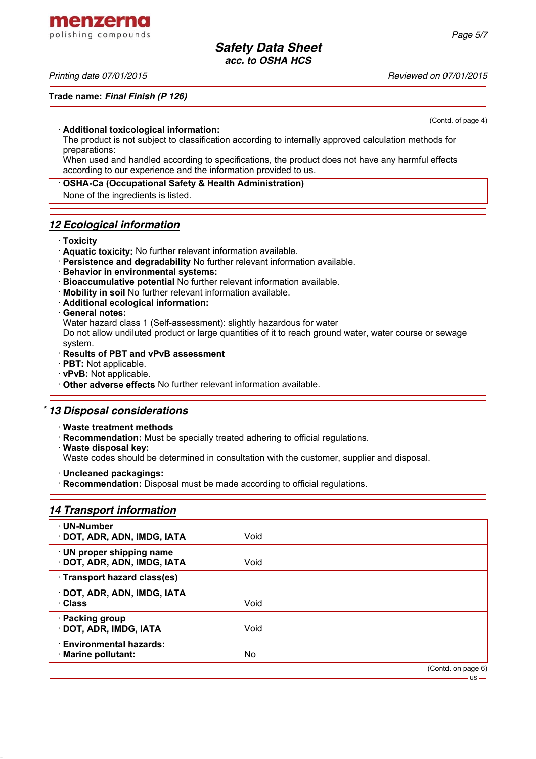menzerna polishing compounds

#### *Printing date 07/01/2015 Reviewed on 07/01/2015*

#### **Trade name:** *Final Finish (P 126)*

(Contd. of page 4)

#### · **Additional toxicological information:**

The product is not subject to classification according to internally approved calculation methods for preparations:

When used and handled according to specifications, the product does not have any harmful effects according to our experience and the information provided to us.

#### · **OSHA-Ca (Occupational Safety & Health Administration)**

None of the ingredients is listed.

## *12 Ecological information*

### · **Toxicity**

- · **Aquatic toxicity:** No further relevant information available.
- · **Persistence and degradability** No further relevant information available.
- · **Behavior in environmental systems:**
- · **Bioaccumulative potential** No further relevant information available.
- · **Mobility in soil** No further relevant information available.
- · **Additional ecological information:**
- · **General notes:**

Water hazard class 1 (Self-assessment): slightly hazardous for water

Do not allow undiluted product or large quantities of it to reach ground water, water course or sewage system.

- · **Results of PBT and vPvB assessment**
- · **PBT:** Not applicable.
- · **vPvB:** Not applicable.
- · **Other adverse effects** No further relevant information available.

# \* *13 Disposal considerations*

- · **Waste treatment methods**
- · **Recommendation:** Must be specially treated adhering to official regulations.
- · **Waste disposal key:**

Waste codes should be determined in consultation with the customer, supplier and disposal.

· **Uncleaned packagings:**

· **Recommendation:** Disposal must be made according to official regulations.

# *14 Transport information*

| · UN-Number<br>· DOT, ADR, ADN, IMDG, IATA               | Void |                    |
|----------------------------------------------------------|------|--------------------|
| · UN proper shipping name<br>· DOT, ADR, ADN, IMDG, IATA | Void |                    |
| · Transport hazard class(es)                             |      |                    |
| · DOT, ADR, ADN, IMDG, IATA<br>· Class                   | Void |                    |
| · Packing group<br>· DOT, ADR, IMDG, IATA                | Void |                    |
| <b>Environmental hazards:</b><br>· Marine pollutant:     | No   |                    |
|                                                          |      | (Contd. on page 6) |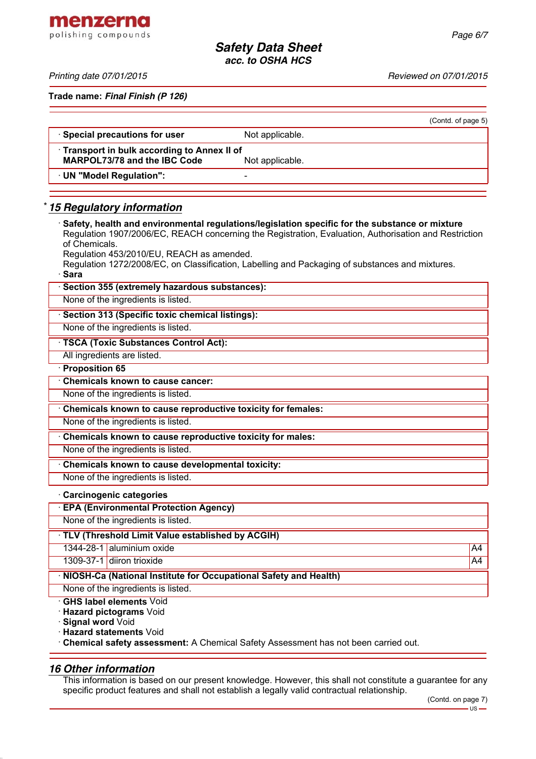menzerna polishing compounds

*Printing date 07/01/2015 Reviewed on 07/01/2015*

**Trade name:** *Final Finish (P 126)*

|                                                                                   |                 | (Contd. of page 5) |
|-----------------------------------------------------------------------------------|-----------------|--------------------|
| · Special precautions for user                                                    | Not applicable. |                    |
| Transport in bulk according to Annex II of<br><b>MARPOL73/78 and the IBC Code</b> | Not applicable. |                    |
| · UN "Model Regulation":                                                          | -               |                    |
|                                                                                   |                 |                    |

# \* *15 Regulatory information*

| Safety, health and environmental regulations/legislation specific for the substance or mixture<br>Regulation 1907/2006/EC, REACH concerning the Registration, Evaluation, Authorisation and Restriction<br>of Chemicals. |    |
|--------------------------------------------------------------------------------------------------------------------------------------------------------------------------------------------------------------------------|----|
| Regulation 453/2010/EU, REACH as amended.                                                                                                                                                                                |    |
| Regulation 1272/2008/EC, on Classification, Labelling and Packaging of substances and mixtures.                                                                                                                          |    |
| · Sara                                                                                                                                                                                                                   |    |
| Section 355 (extremely hazardous substances):                                                                                                                                                                            |    |
| None of the ingredients is listed.                                                                                                                                                                                       |    |
| Section 313 (Specific toxic chemical listings):                                                                                                                                                                          |    |
| None of the ingredients is listed.                                                                                                                                                                                       |    |
| · TSCA (Toxic Substances Control Act):                                                                                                                                                                                   |    |
| All ingredients are listed.                                                                                                                                                                                              |    |
| · Proposition 65                                                                                                                                                                                                         |    |
| <b>Chemicals known to cause cancer:</b>                                                                                                                                                                                  |    |
| None of the ingredients is listed.                                                                                                                                                                                       |    |
| Chemicals known to cause reproductive toxicity for females:                                                                                                                                                              |    |
| None of the ingredients is listed.                                                                                                                                                                                       |    |
| Chemicals known to cause reproductive toxicity for males:                                                                                                                                                                |    |
| None of the ingredients is listed.                                                                                                                                                                                       |    |
| Chemicals known to cause developmental toxicity:                                                                                                                                                                         |    |
| None of the ingredients is listed.                                                                                                                                                                                       |    |
| Carcinogenic categories                                                                                                                                                                                                  |    |
| <b>EPA (Environmental Protection Agency)</b>                                                                                                                                                                             |    |
| None of the ingredients is listed.                                                                                                                                                                                       |    |
| TLV (Threshold Limit Value established by ACGIH)                                                                                                                                                                         |    |
| 1344-28-1 aluminium oxide                                                                                                                                                                                                | A4 |
| 1309-37-1 diiron trioxide                                                                                                                                                                                                | A4 |
| $\mathbf{M}$ $\mathbf{A}$ $\mathbf{M}$ $\mathbf{A}$ $\mathbf{A}$ $\mathbf{M}$<br>$-1$ the subtract of $\mathcal{L}$ and $\mathcal{L}$<br>$-$ 45 $ -$ 1.0 $       -$<br>$-1$ , $1$ , $1$ , $-1$ , $-1$ , $-1$             |    |

· **NIOSH-Ca (National Institute for Occupational Safety and Health)**

None of the ingredients is listed.

· **GHS label elements** Void

· **Hazard pictograms** Void

· **Signal word** Void

· **Hazard statements** Void

· **Chemical safety assessment:** A Chemical Safety Assessment has not been carried out.

## *16 Other information*

This information is based on our present knowledge. However, this shall not constitute a guarantee for any specific product features and shall not establish a legally valid contractual relationship.